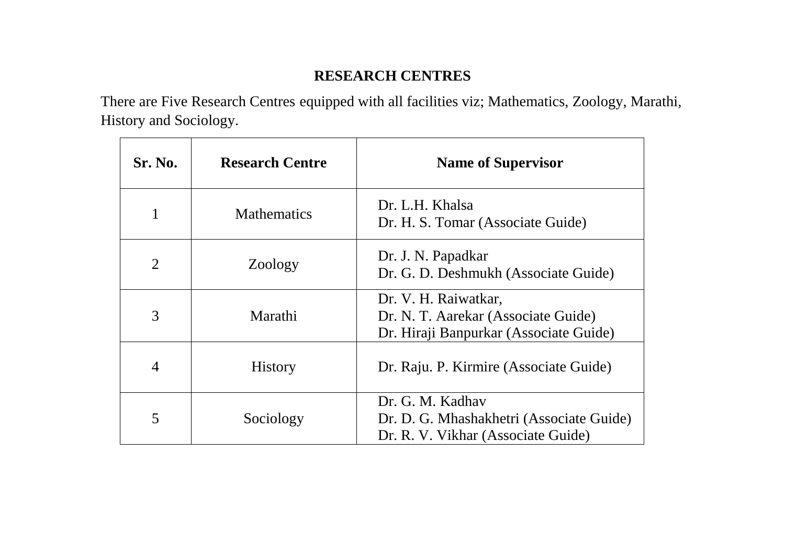## **RESEARCH CENTRES**

There are Five Research Centres equipped with all facilities viz; Mathematics, Zoology, Marathi, History and Sociology.

| <b>Sr. No.</b> | <b>Research Centre</b> | <b>Name of Supervisor</b>                                                                             |
|----------------|------------------------|-------------------------------------------------------------------------------------------------------|
| 1              | <b>Mathematics</b>     | Dr. L.H. Khalsa<br>Dr. H. S. Tomar (Associate Guide)                                                  |
| $\overline{2}$ | Zoology                | Dr. J. N. Papadkar<br>Dr. G. D. Deshmukh (Associate Guide)                                            |
| 3              | Marathi                | Dr. V. H. Raiwatkar,<br>Dr. N. T. Aarekar (Associate Guide)<br>Dr. Hiraji Banpurkar (Associate Guide) |
| $\overline{4}$ | <b>History</b>         | Dr. Raju. P. Kirmire (Associate Guide)                                                                |
| 5              | Sociology              | Dr. G. M. Kadhav<br>Dr. D. G. Mhashakhetri (Associate Guide)<br>Dr. R. V. Vikhar (Associate Guide)    |